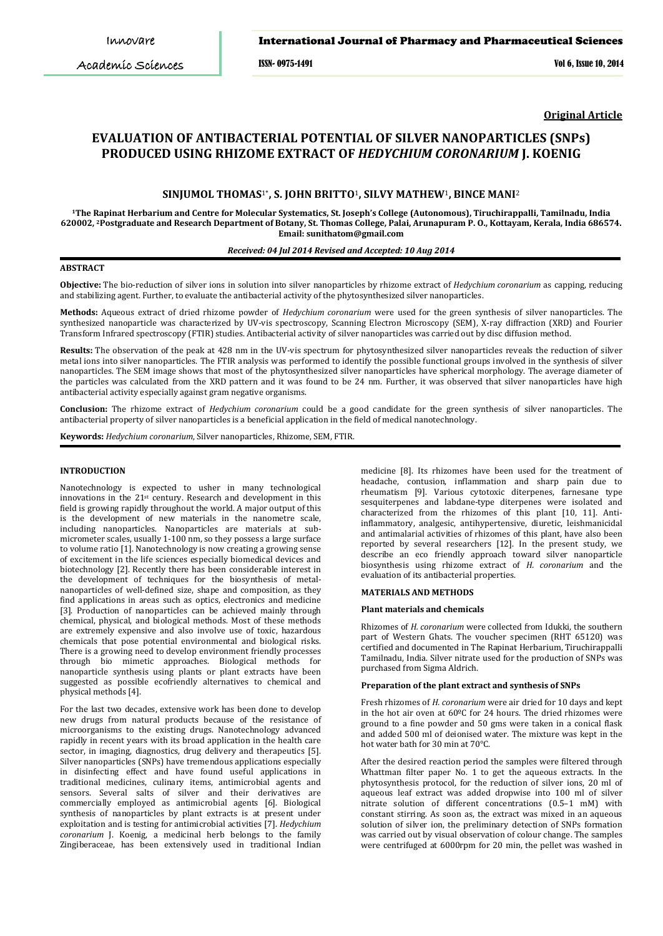Academic Sciences

ISSN- 0975-1491 Vol 6, Issue 10, 2014

**Original Article**

# **EVALUATION OF ANTIBACTERIAL POTENTIAL OF SILVER NANOPARTICLES (SNPs) PRODUCED USING RHIZOME EXTRACT OF** *HEDYCHIUM CORONARIUM* **J. KOENIG**

# **SINJUMOL THOMAS**1\***, S. JOHN BRITTO**1**, SILVY MATHEW**1**, BINCE MANI**<sup>2</sup>

**1The Rapinat Herbarium and Centre for Molecular Systematics, St. Joseph's College (Autonomous), Tiruchirappalli, Tamilnadu, India 620002, 2 Postgraduate and Research Department of Botany, St. Thomas College, Palai, Arunapuram P. O., Kottayam, Kerala, India 686574. Email: sunithatom@gmail.com** 

## *Received: 04 Jul 2014 Revised and Accepted: 10 Aug 2014*

#### **ABSTRACT**

**Objective:** The bio-reduction of silver ions in solution into silver nanoparticles by rhizome extract of *Hedychium coronarium* as capping, reducing and stabilizing agent. Further, to evaluate the antibacterial activity of the phytosynthesized silver nanoparticles.

**Methods:** Aqueous extract of dried rhizome powder of *Hedychium coronarium* were used for the green synthesis of silver nanoparticles. The synthesized nanoparticle was characterized by UV-vis spectroscopy, Scanning Electron Microscopy (SEM), X-ray diffraction (XRD) and Fourier Transform Infrared spectroscopy (FTIR) studies. Antibacterial activity of silver nanoparticles was carried out by disc diffusion method.

**Results:** The observation of the peak at 428 nm in the UV-vis spectrum for phytosynthesized silver nanoparticles reveals the reduction of silver metal ions into silver nanoparticles. The FTIR analysis was performed to identify the possible functional groups involved in the synthesis of silver nanoparticles. The SEM image shows that most of the phytosynthesized silver nanoparticles have spherical morphology. The average diameter of the particles was calculated from the XRD pattern and it was found to be 24 nm. Further, it was observed that silver nanoparticles have high antibacterial activity especially against gram negative organisms.

**Conclusion:** The rhizome extract of *Hedychium coronarium* could be a good candidate for the green synthesis of silver nanoparticles. The antibacterial property of silver nanoparticles is a beneficial application in the field of medical nanotechnology.

**Keywords:** *Hedychium coronarium*, Silver nanoparticles, Rhizome, SEM, FTIR.

## **INTRODUCTION**

Nanotechnology is expected to usher in many technological innovations in the 21<sup>st</sup> century. Research and development in this field is growing rapidly throughout the world. A major output of this is the development of new materials in the nanometre scale, including nanoparticles. Nanoparticles are materials at submicrometer scales, usually 1-100 nm, so they possess a large surface to volume ratio [1]. Nanotechnology is now creating a growing sense of excitement in the life sciences especially biomedical devices and biotechnology [2]. Recently there has been considerable interest in the development of techniques for the biosynthesis of metalnanoparticles of well-defined size, shape and composition, as they find applications in areas such as optics, electronics and medicine [3]. Production of nanoparticles can be achieved mainly through chemical, physical, and biological methods. Most of these methods are extremely expensive and also involve use of toxic, hazardous chemicals that pose potential environmental and biological risks. There is a growing need to develop environment friendly processes through bio mimetic approaches. Biological methods for nanoparticle synthesis using plants or plant extracts have been suggested as possible ecofriendly alternatives to chemical and physical methods [4].

For the last two decades, extensive work has been done to develop new drugs from natural products because of the resistance of microorganisms to the existing drugs. Nanotechnology advanced rapidly in recent years with its broad application in the health care sector, in imaging, diagnostics, drug delivery and therapeutics [5]. Silver nanoparticles (SNPs) have tremendous applications especially in disinfecting effect and have found useful applications in traditional medicines, culinary items, antimicrobial agents and sensors. Several salts of silver and their derivatives are commercially employed as antimicrobial agents [6]. Biological synthesis of nanoparticles by plant extracts is at present under exploitation and is testing for antimicrobial activities [7]. *Hedychium coronarium* J. Koenig, a medicinal herb belongs to the family Zingiberaceae, has been extensively used in traditional Indian

medicine [8]. Its rhizomes have been used for the treatment of headache, contusion, inflammation and sharp pain due to rheumatism [9]. Various cytotoxic diterpenes, farnesane type sesquiterpenes and labdane-type diterpenes were isolated and characterized from the rhizomes of this plant [10, 11]. Antiinflammatory, analgesic, antihypertensive, diuretic, leishmanicidal and antimalarial activities of rhizomes of this plant, have also been reported by several researchers [12]. In the present study, we describe an eco friendly approach toward silver nanoparticle biosynthesis using rhizome extract of *H. coronarium* and the evaluation of its antibacterial properties.

#### **MATERIALS AND METHODS**

#### **Plant materials and chemicals**

Rhizomes of *H. coronarium* were collected from Idukki, the southern part of Western Ghats. The voucher specimen (RHT 65120) was certified and documented in The Rapinat Herbarium, Tiruchirappalli Tamilnadu, India. Silver nitrate used for the production of SNPs was purchased from Sigma Aldrich.

#### **Preparation of the plant extract and synthesis of SNPs**

Fresh rhizomes of *H. coronarium* were air dried for 10 days and kept in the hot air oven at 60ºC for 24 hours. The dried rhizomes were ground to a fine powder and 50 gms were taken in a conical flask and added 500 ml of deionised water. The mixture was kept in the hot water bath for 30 min at 70°C.

After the desired reaction period the samples were filtered through Whattman filter paper No. 1 to get the aqueous extracts. In the phytosynthesis protocol, for the reduction of silver ions, 20 ml of aqueous leaf extract was added dropwise into 100 ml of silver nitrate solution of different concentrations (0.5–1 mM) with constant stirring. As soon as, the extract was mixed in an aqueous solution of silver ion, the preliminary detection of SNPs formation was carried out by visual observation of colour change. The samples were centrifuged at 6000rpm for 20 min, the pellet was washed in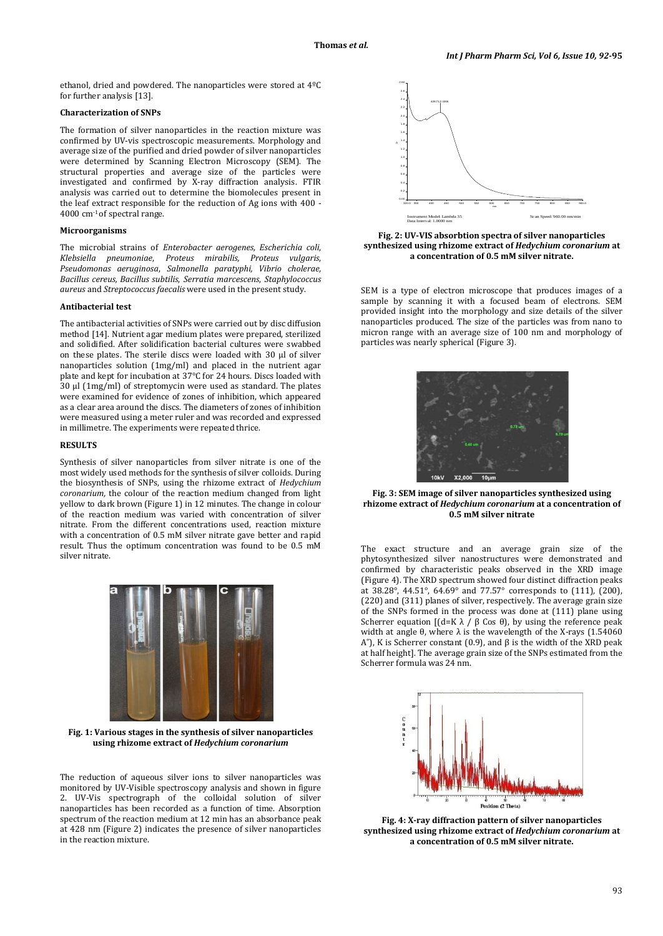ethanol, dried and powdered. The nanoparticles were stored at 4ºC for further analysis [13].

## **Characterization of SNPs**

The formation of silver nanoparticles in the reaction mixture was confirmed by UV-vis spectroscopic measurements. Morphology and average size of the purified and dried powder of silver nanoparticles were determined by Scanning Electron Microscopy (SEM). The structural properties and average size of the particles were investigated and confirmed by X-ray diffraction analysis. FTIR analysis was carried out to determine the biomolecules present in the leaf extract responsible for the reduction of Ag ions with 400 - 4000 cm-1 of spectral range.

## **Microorganisms**

The microbial strains of *Enterobacter aerogenes, Escherichia coli*, *Klebsiella pneumoniae*, *Proteus mirabilis, Proteus vulgaris*, *Pseudomonas aeruginosa*, *Salmonella paratyphi, Vibrio cholerae, Bacillus cereus, Bacillus subtilis*, *Serratia marcescens*, *Staphylococcus aureus* and *Streptococcus faecalis* were used in the present study.

#### **Antibacterial test**

The antibacterial activities of SNPs were carried out by disc diffusion method [14]. Nutrient agar medium plates were prepared, sterilized and solidified. After solidification bacterial cultures were swabbed on these plates. The sterile discs were loaded with 30 µl of silver nanoparticles solution (1mg/ml) and placed in the nutrient agar plate and kept for incubation at 37°C for 24 hours. Discs loaded with 30 µl (1mg/ml) of streptomycin were used as standard. The plates were examined for evidence of zones of inhibition, which appeared as a clear area around the discs. The diameters of zones of inhibition were measured using a meter ruler and was recorded and expressed in millimetre. The experiments were repeated thrice.

#### **RESULTS**

Synthesis of silver nanoparticles from silver nitrate is one of the most widely used methods for the synthesis of silver colloids. During the biosynthesis of SNPs, using the rhizome extract of *Hedychium coronarium,* the colour of the reaction medium changed from light yellow to dark brown (Figure 1) in 12 minutes. The change in colour of the reaction medium was varied with concentration of silver nitrate. From the different concentrations used, reaction mixture with a concentration of 0.5 mM silver nitrate gave better and rapid result. Thus the optimum concentration was found to be 0.5 mM silver nitrate.



**Fig. 1: Various stages in the synthesis of silver nanoparticles using rhizome extract of** *Hedychium coronarium*

The reduction of aqueous silver ions to silver nanoparticles was monitored by UV-Visible spectroscopy analysis and shown in figure 2. UV-Vis spectrograph of the colloidal solution of silver nanoparticles has been recorded as a function of time. Absorption spectrum of the reaction medium at 12 min has an absorbance peak at 428 nm (Figure 2) indicates the presence of silver nanoparticles in the reaction mixture.



**Fig. 2: UV-VIS absorbtion spectra of silver nanoparticles synthesized using rhizome extract of** *Hedychium coronarium* **at a concentration of 0.5 mM silver nitrate.**

SEM is a type of electron microscope that produces images of a sample by scanning it with a focused beam of electrons. SEM provided insight into the morphology and size details of the silver nanoparticles produced. The size of the particles was from nano to micron range with an average size of 100 nm and morphology of particles was nearly spherical (Figure 3).



**Fig. 3: SEM image of silver nanoparticles synthesized using rhizome extract of** *Hedychium coronarium* **at a concentration of 0.5 mM silver nitrate**

The exact structure and an average grain size of the phytosynthesized silver nanostructures were demonstrated and confirmed by characteristic peaks observed in the XRD image (Figure 4). The XRD spectrum showed four distinct diffraction peaks at 38.28°, 44.51°, 64.69° and 77.57° corresponds to (111), (200), (220) and (311) planes of silver, respectively. The average grain size of the SNPs formed in the process was done at (111) plane using Scherrer equation  $[(d=K λ / β \text{Cos } θ)]$ , by using the reference peak width at angle θ, where  $λ$  is the wavelength of the X-rays (1.54060 A<sup>°</sup>), K is Scherrer constant (0.9), and β is the width of the XRD peak at half height]. The average grain size of the SNPs estimated from the Scherrer formula was 24 nm.



**Fig. 4: X-ray diffraction pattern of silver nanoparticles synthesized using rhizome extract of** *Hedychium coronarium* **at a concentration of 0.5 mM silver nitrate.**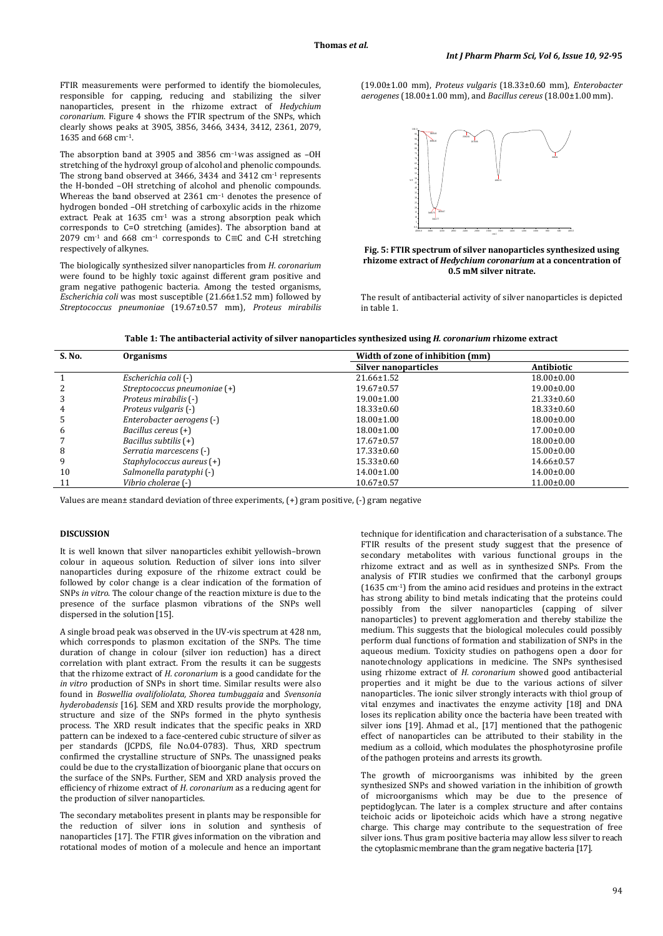FTIR measurements were performed to identify the biomolecules, responsible for capping, reducing and stabilizing the silver nanoparticles, present in the rhizome extract of *Hedychium coronarium*. Figure 4 shows the FTIR spectrum of the SNPs, which clearly shows peaks at 3905, 3856, 3466, 3434, 3412, 2361, 2079, 1635 and 668 cm<sup>−</sup>1.

The absorption band at 3905 and 3856 cm<sup>−</sup>1was assigned as –OH stretching of the hydroxyl group of alcohol and phenolic compounds. The strong band observed at 3466, 3434 and 3412 cm<sup>-1</sup> represents the H-bonded –OH stretching of alcohol and phenolic compounds. Whereas the band observed at 2361 cm<sup>−</sup><sup>1</sup> denotes the presence of hydrogen bonded –OH stretching of carboxylic acids in the rhizome extract. Peak at 1635 cm<sup>-1</sup> was a strong absorption peak which corresponds to C=O stretching (amides). The absorption band at 2079 cm-1 and 668 cm<sup>−</sup><sup>1</sup> corresponds to C≡C and C-H stretching respectively of alkynes. **Fig. 5: FTIR spectrum of silver nanoparticles synthesized using** 

The biologically synthesized silver nanoparticles from *H. coronarium* were found to be highly toxic against different gram positive and gram negative pathogenic bacteria. Among the tested organisms, *Escherichia coli* was most susceptible (21.66±1.52 mm) followed by *Streptococcus pneumoniae* (19.67±0.57 mm), *Proteus mirabilis* (19.00±1.00 mm), *Proteus vulgaris* (18.33±0.60 mm), *Enterobacter aerogenes* (18.00±1.00 mm), and *Bacillus cereus* (18.00±1.00 mm).



**rhizome extract of** *Hedychium coronarium* **at a concentration of 0.5 mM silver nitrate.**

The result of antibacterial activity of silver nanoparticles is depicted in table 1.

| Table 1: The antibacterial activity of silver nanoparticles synthesized using <i>H. coronarium</i> rhizome extract |  |  |  |
|--------------------------------------------------------------------------------------------------------------------|--|--|--|
|--------------------------------------------------------------------------------------------------------------------|--|--|--|

| S. No. | <b>Organisms</b>             | Width of zone of inhibition (mm) |                  |  |
|--------|------------------------------|----------------------------------|------------------|--|
|        |                              | Silver nanoparticles             | Antibiotic       |  |
|        | Escherichia coli (-)         | 21.66±1.52                       | $18.00 \pm 0.00$ |  |
| 2      | Streptococcus pneumoniae (+) | $19.67 \pm 0.57$                 | $19.00 \pm 0.00$ |  |
| 3      | Proteus mirabilis (-)        | $19.00 \pm 1.00$                 | $21.33 \pm 0.60$ |  |
| 4      | Proteus vulgaris (-)         | $18.33 \pm 0.60$                 | $18.33 \pm 0.60$ |  |
| 5      | Enterobacter aerogens (-)    | $18.00 \pm 1.00$                 | $18.00 \pm 0.00$ |  |
| 6      | Bacillus cereus (+)          | $18.00 \pm 1.00$                 | $17.00 \pm 0.00$ |  |
|        | Bacillus subtilis (+)        | $17.67 \pm 0.57$                 | $18.00 \pm 0.00$ |  |
| 8      | Serratia marcescens (-)      | $17.33 \pm 0.60$                 | $15.00 \pm 0.00$ |  |
| 9      | Staphylococcus aureus $(+)$  | $15.33 \pm 0.60$                 | $14.66 \pm 0.57$ |  |
| 10     | Salmonella paratyphi (-)     | $14.00 \pm 1.00$                 | $14.00 \pm 0.00$ |  |
| 11     | Vibrio cholerae (-)          | $10.67 \pm 0.57$                 | $11.00 \pm 0.00$ |  |

Values are mean± standard deviation of three experiments, (+) gram positive, (-) gram negative

## **DISCUSSION**

It is well known that silver nanoparticles exhibit yellowish–brown colour in aqueous solution. Reduction of silver ions into silver nanoparticles during exposure of the rhizome extract could be followed by color change is a clear indication of the formation of SNPs *in vitro*. The colour change of the reaction mixture is due to the presence of the surface plasmon vibrations of the SNPs well dispersed in the solution [15].

A single broad peak was observed in the UV-vis spectrum at 428 nm, which corresponds to plasmon excitation of the SNPs. The time duration of change in colour (silver ion reduction) has a direct correlation with plant extract. From the results it can be suggests that the rhizome extract of *H. coronarium* is a good candidate for the *in vitro* production of SNPs in short time. Similar results were also found in *Boswellia ovalifoliolata, Shorea tumbuggaia* and *Svensonia hyderobadensis* [16]. SEM and XRD results provide the morphology, structure and size of the SNPs formed in the phyto synthesis process. The XRD result indicates that the specific peaks in XRD pattern can be indexed to a face-centered cubic structure of silver as per standards (JCPDS, file No.04-0783). Thus, XRD spectrum confirmed the crystalline structure of SNPs. The unassigned peaks could be due to the crystallization of bioorganic plane that occurs on the surface of the SNPs. Further, SEM and XRD analysis proved the efficiency of rhizome extract of *H. coronarium* as a reducing agent for the production of silver nanoparticles.

The secondary metabolites present in plants may be responsible for the reduction of silver ions in solution and synthesis of nanoparticles [17]. The FTIR gives information on the vibration and rotational modes of motion of a molecule and hence an important

technique for identification and characterisation of a substance. The FTIR results of the present study suggest that the presence of secondary metabolites with various functional groups in the rhizome extract and as well as in synthesized SNPs. From the analysis of FTIR studies we confirmed that the carbonyl groups (1635 cm-1 ) from the amino acid residues and proteins in the extract has strong ability to bind metals indicating that the proteins could possibly from the silver nanoparticles (capping of silver nanoparticles) to prevent agglomeration and thereby stabilize the medium. This suggests that the biological molecules could possibly perform dual functions of formation and stabilization of SNPs in the aqueous medium. Toxicity studies on pathogens open a door for nanotechnology applications in medicine. The SNPs synthesised using rhizome extract of *H. coronarium* showed good antibacterial properties and it might be due to the various actions of silver nanoparticles. The ionic silver strongly interacts with thiol group of vital enzymes and inactivates the enzyme activity [18] and DNA loses its replication ability once the bacteria have been treated with silver ions [19]. Ahmad et al., [17] mentioned that the pathogenic effect of nanoparticles can be attributed to their stability in the medium as a colloid, which modulates the phosphotyrosine profile of the pathogen proteins and arrests its growth.

The growth of microorganisms was inhibited by the green synthesized SNPs and showed variation in the inhibition of growth of microorganisms which may be due to the presence of peptidoglycan. The later is a complex structure and after contains teichoic acids or lipoteichoic acids which have a strong negative charge. This charge may contribute to the sequestration of free silver ions. Thus gram positive bacteria may allow less silver to reach the cytoplasmic membrane than the gram negative bacteria [17].